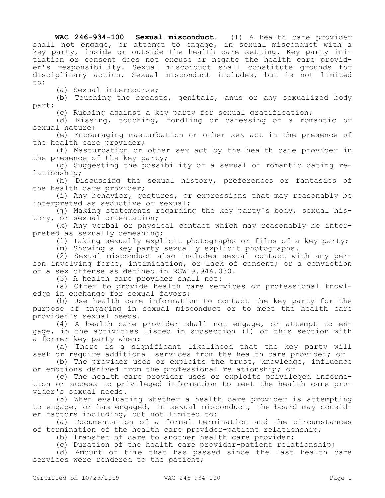**WAC 246-934-100 Sexual misconduct.** (1) A health care provider shall not engage, or attempt to engage, in sexual misconduct with a key party, inside or outside the health care setting. Key party initiation or consent does not excuse or negate the health care provider's responsibility. Sexual misconduct shall constitute grounds for disciplinary action. Sexual misconduct includes, but is not limited to:

(a) Sexual intercourse;

(b) Touching the breasts, genitals, anus or any sexualized body part;

(c) Rubbing against a key party for sexual gratification;

(d) Kissing, touching, fondling or caressing of a romantic or sexual nature;

(e) Encouraging masturbation or other sex act in the presence of the health care provider;

(f) Masturbation or other sex act by the health care provider in the presence of the key party;

(g) Suggesting the possibility of a sexual or romantic dating relationship;

(h) Discussing the sexual history, preferences or fantasies of the health care provider;

(i) Any behavior, gestures, or expressions that may reasonably be interpreted as seductive or sexual;

(j) Making statements regarding the key party's body, sexual history, or sexual orientation;

(k) Any verbal or physical contact which may reasonably be interpreted as sexually demeaning;

(l) Taking sexually explicit photographs or films of a key party;

(m) Showing a key party sexually explicit photographs.

(2) Sexual misconduct also includes sexual contact with any person involving force, intimidation, or lack of consent; or a conviction of a sex offense as defined in RCW 9.94A.030.

(3) A health care provider shall not:

(a) Offer to provide health care services or professional knowledge in exchange for sexual favors;

(b) Use health care information to contact the key party for the purpose of engaging in sexual misconduct or to meet the health care provider's sexual needs.

(4) A health care provider shall not engage, or attempt to engage, in the activities listed in subsection (1) of this section with a former key party when:

(a) There is a significant likelihood that the key party will seek or require additional services from the health care provider; or

(b) The provider uses or exploits the trust, knowledge, influence or emotions derived from the professional relationship; or

(c) The health care provider uses or exploits privileged information or access to privileged information to meet the health care provider's sexual needs.

(5) When evaluating whether a health care provider is attempting to engage, or has engaged, in sexual misconduct, the board may consider factors including, but not limited to:

(a) Documentation of a formal termination and the circumstances of termination of the health care provider-patient relationship;

(b) Transfer of care to another health care provider;

(c) Duration of the health care provider-patient relationship;

(d) Amount of time that has passed since the last health care services were rendered to the patient;